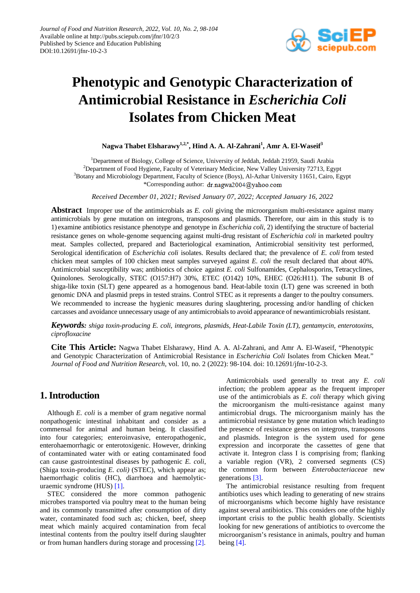

# **Phenotypic and Genotypic Characterization of Antimicrobial Resistance in** *Escherichia Coli* **Isolates from Chicken Meat**

**Nagwa Thabet Elsharawy1,2,\* , Hind A. A. Al-Zahrani 1 , Amr A. El-Waseif<sup>3</sup>**

<sup>1</sup>Department of Biology, College of Science, University of Jeddah, Jeddah 21959, Saudi Arabia <sup>2</sup>Department of Food Hygiene, Faculty of Veterinary Medicine, New Valley University 72713, Egypt <sup>3</sup>Botany and Microbiology Department, Faculty of Science (Boys), Al-Azhar University 11651, Cairo, Egypt \*Corresponding author: dr.nagwa2004@yahoo.com

*Received December 01, 2021; Revised January 07, 2022; Accepted January 16, 2022*

Abstract Improper use of the antimicrobials as *E. coli* giving the microorganism multi-resistance against many antimicrobials by gene mutation on integrons, transposons and plasmids. Therefore, our aim in this study is to 1) examine antibiotics resistance phenotype and genotype in *Escherichia coli*, 2) identifying the structure of bacterial resistance genes on whole-genome sequencing against multi-drug resistant of *Escherichia coli* in marketed poultry meat. Samples collected, prepared and Bacteriological examination, Antimicrobial sensitivity test performed, Serological identification of *Escherichia coli* isolates. Results declared that; the prevalence of *E. coli* from tested chicken meat samples of 100 chicken meat samples surveyed against *E. coli* the result declared that about 40%*.* Antimicrobial susceptibility was; antibiotics of choice against *E. coli* Sulfonamides, Cephalosporins, Tetracyclines, Quinolones. Serologically, STEC (O157:H7) 30%, ETEC (O142) 10%, EHEC (O26:H11). The subunit B of shiga-like toxin (SLT) gene appeared as a homogenous band. Heat-labile toxin (LT) gene was screened in both genomic DNA and plasmid preps in tested strains. Control STEC as it represents a danger to the poultry consumers. We recommended to increase the hygienic measures during slaughtering, processing and/or handling of chicken carcasses and avoidance unnecessary usage of any antimicrobials to avoid appearance of newantimicrobials resistant.

*Keywords: shiga toxin-producing E. coli, integrons, plasmids, Heat-Labile Toxin (LT), gentamycin, enterotoxins, ciprofloxacine*

**Cite This Article:** Nagwa Thabet Elsharawy, Hind A. A. Al-Zahrani, and Amr A. El-Waseif, "Phenotypic and Genotypic Characterization of Antimicrobial Resistance in *Escherichia Coli* Isolates from Chicken Meat." *Journal of Food and Nutrition Research*, vol. 10, no. 2 (2022): 98-104. doi: 10.12691/jfnr-10-2-3.

# **1. Introduction**

Although *E. coli* is a member of gram negative normal nonpathogenic intestinal inhabitant and consider as a commensal for animal and human being. It classified into four categories; enteroinvasive, enteropathogenic, enterohaemorrhagic or enterotoxigenic. However, drinking of contaminated water with or eating contaminated food can cause gastrointestinal diseases by pathogenic *E. coli*, (Shiga toxin-producing *E. coli)* (STEC), which appear as; haemorrhagic colitis (HC), diarrhoea and haemolyticuraemic syndrome (HUS) [\[1\].](#page-5-0)

STEC considered the more common pathogenic microbes transported via poultry meat to the human being and its commonly transmitted after consumption of dirty water, contaminated food such as; chicken, beef, sheep meat which mainly acquired contamination from fecal intestinal contents from the poultry itself during slaughter or from human handlers during storage and processing [\[2\].](#page-5-1)

Antimicrobials used generally to treat any *E. coli*  infection; the problem appear as the frequent improper use of the antimicrobials as *E. coli* therapy which giving the microorganism the multi-resistance against many antimicrobial drugs. The microorganism mainly has the antimicrobial resistance by gene mutation which leadingto the presence of resistance genes on integrons, transposons and plasmids. Integron is the system used for gene expression and incorporate the cassettes of gene that activate it. Integron class I is comprising from; flanking a variable region (VR), 2 conversed segments (CS) the common form between *Enterobacteriaceae* new generations [\[3\].](#page-5-2)

The antimicrobial resistance resulting from frequent antibiotics uses which leading to generating of new strains of microorganisms which become highly have resistance against several antibiotics. This considers one ofthe highly important crisis to the public health globally. Scientists looking for new generations of antibiotics to overcome the microorganism's resistance in animals, poultry and human being [\[4\].](#page-5-3)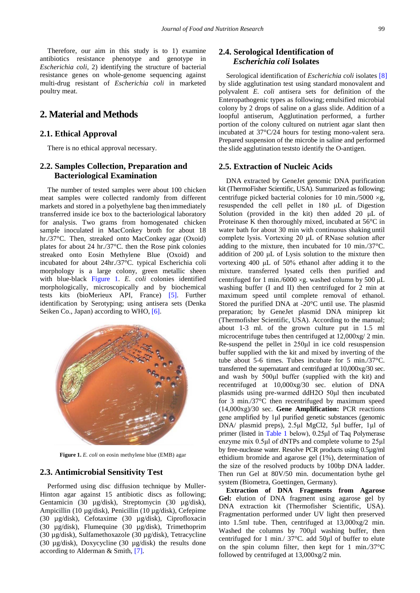Therefore, our aim in this study is to 1) examine antibiotics resistance phenotype and genotype in *Escherichia coli*, 2) identifying the structure of bacterial resistance genes on whole-genome sequencing against multi-drug resistant of *Escherichia coli* in marketed poultry meat.

# **2. Material and Methods**

#### **2.1. Ethical Approval**

There is no ethical approval necessary.

#### **2.2. Samples Collection, Preparation and Bacteriological Examination**

The number of tested samples were about 100 chicken meat samples were collected randomly from different markets and stored in a polyethylene bag then immediately transferred inside ice box to the bacteriological laboratory for analysis. Two grams from homogenated chicken sample inoculated in MacConkey broth for about 18 hr./37°C. Then, streaked onto MacConkey agar (Oxoid) plates for about 24 hr./37°C. then the Rose pink colonies streaked onto Eosin Methylene Blue (Oxoid) and incubated for about 24hr./37°C. typical Escherichia coli morphology is a large colony, green metallic sheen with blue-black [Figure 1.](#page-1-0) *E. coli* colonies identified morphologically, microscopically and by biochemical tests kits (bioMerieux API, France) [\[5\].](#page-5-4) Further identification by Serotyping; using antisera sets (Denka Seiken Co., Japan) according to WHO, [\[6\].](#page-5-5)

<span id="page-1-0"></span>

**Figure 1.** *E. coli* on eosin methylene blue (EMB) agar

#### **2.3. Antimicrobial Sensitivity Test**

Performed using disc diffusion technique by Muller-Hinton agar against 15 antibiotic discs as following; Gentamicin (30 µg/disk), Streptomycin (30 µg/disk), Ampicillin (10 µg/disk), Penicillin (10 µg/disk), Cefepime (30 µg/disk), Cefotaxime (30 µg/disk), Ciprofloxacin (30 µg/disk), Flumequine (30 µg/disk), Trimethoprim (30 µg/disk), Sulfamethoxazole (30 µg/disk), Tetracycline (30 µg/disk), Doxycycline (30 µg/disk) the results done according to Alderman & Smith, [\[7\].](#page-5-6)

## **2.4. Serological Identification of**  *Escherichia coli* **Isolates**

Serological identification of *Escherichia coli* isolates [\[8\]](#page-6-0) by slide agglutination test using standard monovalent and polyvalent *E. coli* antisera sets for definition of the Enteropathogenic types as following; emulsified microbial colony by 2 drops of saline on a glass slide. Addition of a loopful antiserum, Agglutination performed, a further portion of the colony cultured on nutrient agar slant then incubated at 37°C/24 hours for testing mono-valent sera. Prepared suspension of the microbe in saline and performed the slide agglutination teststo identify the O-antigen.

#### **2.5. Extraction of Nucleic Acids**

DNA extracted by GeneJet genomic DNA purification kit (ThermoFisher Scientific, USA). Summarized as following; centrifuge picked bacterial colonies for 10 min./5000  $\times$ g, resuspended the cell pellet in 180 μL of Digestion Solution (provided in the kit) then added 20 μL of Proteinase K then thoroughly mixed, incubated at 56°C in water bath for about 30 min with continuous shaking until complete lysis. Vortexing 20 μL of RNase solution after adding to the mixture, then incubated for 10 min./37°C. addition of 200 μL of Lysis solution to the mixture then vortexing 400 μL of 50% ethanol after adding it to the mixture. transferred lysated cells then purified and centrifuged for 1 min./6000 ×g. washed column by 500 μL washing buffer (I and II) then centrifuged for 2 min at maximum speed until complete removal of ethanol. Stored the purified DNA at -20°C until use. The plasmid preparation; by GeneJet plasmid DNA miniprep kit (Thermofisher Scientific, USA). According to the manual; about 1-3 ml. of the grown culture put in 1.5 ml microcentrifuge tubes then centrifuged at 12,000xg/ 2 min. Re-suspend the pellet in 250μl in ice cold resuspension buffer supplied with the kit and mixed by inverting of the tube about 5-6 times. Tubes incubate for 5 min./37°C. transferred the supernatant and centrifuged at 10,000xg/30 sec. and wash by 500μl buffer (supplied with the kit) and recentrifuged at 10,000xg/30 sec. elution of DNA plasmids using pre-warmed ddH2O 50μl then incubated for 3 min./37°C then recentrifuged by maximum speed (14,000xg)/30 sec. **Gene Amplification:** PCR reactions gene amplified by 1μl purified genetic substances (genomic DNA/ plasmid preps), 2.5μl MgCl2, 5μl buffer, 1μl of primer (listed in [Table 1](#page-2-0) below), 0.25μl of Taq Polymerase enzyme mix 0.5μl of dNTPs and complete volume to 25μl by free-nuclease water. Resolve PCR products using 0.5µg/ml ethidium bromide and agarose gel (1%), determination of the size of the resolved products by 100bp DNA ladder. Then run Gel at 80V/50 min. documentation bythe gel system (Biometra, Goettingen, Germany).

**Extraction of DNA Fragments from Agarose Gel:** elution of DNA fragment using agarose gel by DNA extraction kit (Thermofisher Scientific, USA). Fragmentation performed under UV light then preserved into 1.5ml tube. Then, centrifuged at 13,000xg/2 min. Washed the columns by 700 $\mu$ l washing buffer, then centrifuged for 1 min./ 37°C. add 50µl of buffer to elute on the spin column filter, then kept for 1 min./37°C followed by centrifuged at 13,000xg/2 min.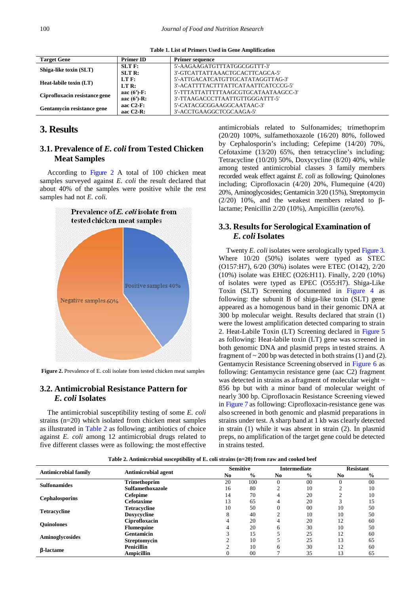**Table 1. List of Primers Used in Gene Amplification**

<span id="page-2-0"></span>

| <b>Target Gene</b>            | <b>Primer ID</b> | <b>Primer sequence</b>               |
|-------------------------------|------------------|--------------------------------------|
| Shiga-like toxin (SLT)        | $SLT$ F:         | 5'-AAGAAGATGTTTATGGCGGTTT-3'         |
|                               | $SLTR$ :         | 3'-GTCATTATTAAACTGCACTTCAGCA-5'      |
| <b>Heat-labile toxin (LT)</b> | LT F:            | 5'-ATTGACATCATGTTGCATATAGGTTAG-3'    |
|                               | LT R:            | 3'-ACATTTTACTTTATTCATAATTCATCCCG-5'  |
| Ciprofloxacin resistance gene | aac $(6')$ -F:   | 5'-TTTATTATTTTTAAGCGTGCATAATAAGCC-3' |
|                               | aac $(6')$ -R:   | 3'-TTAAGACCCTTAATTGTTGGGATTT-5'      |
| Gentamycin resistance gene    | aac $C2-F$ :     | 5'-CATACGCGGAAGGCAATAAC-3'           |
|                               | aac $C2-R$ :     | 3'-ACCTGAAGGCTCGCAAGA-5'             |

# **3. Results**

## **3.1. Prevalence of** *E. coli* **from Tested Chicken Meat Samples**

According to [Figure 2](#page-2-1) A total of 100 chicken meat samples surveyed against *E. coli* the result declared that about 40% of the samples were positive while the rest samples had not *E. coli.*

<span id="page-2-1"></span>

**Figure 2.** Prevalence of E. coli isolate from tested chicken meat samples

#### **3.2. Antimicrobial Resistance Pattern for** *E. coli* **Isolates**

The antimicrobial susceptibility testing of some *E. coli* strains (n=20) which isolated from chicken meat samples as illustrated in [Table 2](#page-2-2) as following; antibiotics of choice against *E. coli* among 12 antimicrobial drugs related to five different classes were as following; the most effective antimicrobials related to Sulfonamides; trimethoprim (20/20) 100%, sulfamethoxazole (16/20) 80%, followed by Cephalosporin's including; Cefepime (14/20) 70%, Cefotaxime (13/20) 65%, then tetracycline's including; Tetracycline (10/20) 50%, Doxycycline (8/20) 40%, while among tested antimicrobial classes 3 family members recorded weak effect against *E. coli* as following; Quinolones including; Ciprofloxacin (4/20) 20%, Flumequine (4/20) 20%, Aminoglycosides; Gentamicin 3/20 (15%), Streptomycin (2/20) 10%, and the weakest members related to βlactame; Penicillin 2/20 (10%), Ampicillin (zero%).

#### **3.3. Results for Serological Examination of** *E. coli* **Isolates**

Twenty *E. coli* isolates were serologically typed [Figure 3.](#page-3-0) Where 10/20 (50%) isolates were typed as STEC (O157:H7), 6/20 (30%) isolates were ETEC (O142), 2/20 (10%) isolate was EHEC (O26:H11). Finally, 2/20 (10%) of isolates were typed as EPEC (O55:H7). Shiga-Like Toxin (SLT) Screening documented in [Figure 4](#page-3-1) as following: the subunit B of shiga-like toxin (SLT) gene appeared as a homogenous band in their genomic DNA at 300 bp molecular weight. Results declared that strain (1) were the lowest amplification detected comparing to strain 2. Heat-Labile Toxin (LT) Screening declared in [Figure 5](#page-3-2) as following: Heat-labile toxin (LT) gene was screened in both genomic DNA and plasmid preps in tested strains. A fragment of  $\sim$  200 bp was detected in both strains (1) and (2). Gentamycin Resistance Screening observed in [Figure 6](#page-4-0) as following: Gentamycin resistance gene (aac C2) fragment was detected in strains as a fragment of molecular weight  $\sim$ 856 bp but with a minor band of molecular weight of nearly 300 bp. Ciprofloxacin Resistance Screening viewed in [Figure 7](#page-4-1) as following: Ciprofloxacin-resistance gene was also screened in both genomic and plasmid preparations in strains under test. A sharp band at 1 kb was clearly detected in strain (1) while it was absent in strain (2). In plasmid preps, no amplification of the target gene could be detected in strains tested.

<span id="page-2-2"></span>

|                             |                     | <b>Sensitive</b> |               | <b>Intermediate</b> |      | <b>Resistant</b> |               |
|-----------------------------|---------------------|------------------|---------------|---------------------|------|------------------|---------------|
| <b>Antimicrobial family</b> | Antimicrobial agent | N <sub>0</sub>   | $\frac{6}{9}$ | No.                 | $\%$ | No               | $\frac{6}{6}$ |
| <b>Sulfonamides</b>         | <b>Trimethoprim</b> | 20               | 100           |                     | 00   | $\Omega$         | 00            |
|                             | Sulfamethoxazole    | 16               | 80            |                     | 10   | $\sim$           | 10            |
| <b>Cephalosporins</b>       | Cefepime            | 14               | 70            | 4                   | 20   | ◠                | 10            |
|                             | <b>Cefotaxime</b>   | 13               | 65            | 4                   | 20   | 3                | 15            |
| <b>Tetracycline</b>         | <b>Tetracycline</b> | 10               | 50            |                     | 00   | 10               | 50            |
|                             | Doxycycline         | 8                | 40            |                     | 10   | 10               | 50            |
| <b>Ouinolones</b>           | Ciprofloxacin       | 4                | 20            | 4                   | 20   | 12               | 60            |
|                             | <b>Flumequine</b>   |                  | 20            | 6                   | 30   | 10               | 50            |
| <b>Aminoglycosides</b>      | <b>Gentamicin</b>   |                  | 15            |                     | 25   | 12               | 60            |
|                             | <b>Streptomycin</b> |                  | 10            |                     | 25   | 13               | 65            |
| <b><i>B</i></b> -lactame    | <b>Penicillin</b>   |                  | 10            | h                   | 30   | 12               | 60            |
|                             | <b>Ampicillin</b>   |                  | 00            |                     | 35   | 13               | 65            |

**Table 2. Antimicrobial susceptibility of E. coli strains (n=20) from raw and cooked beef**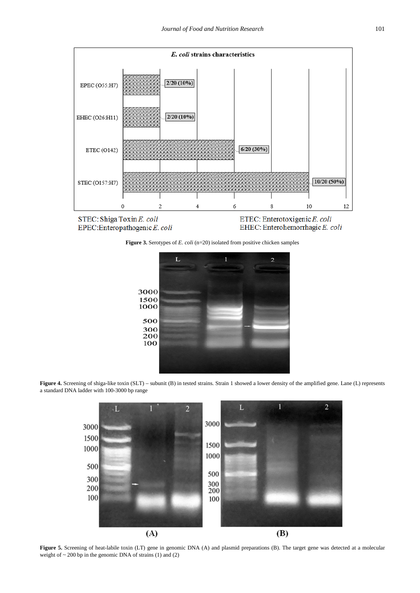<span id="page-3-0"></span>

<span id="page-3-1"></span>

ETEC: Enterotoxigenic E. coli EHEC: Enterohemorrhagic E. coli

**Figure 3.** Serotypes of *E. coli* (n=20) isolated from positive chicken samples



<span id="page-3-2"></span>**Figure 4.** Screening of shiga-like toxin (SLT) – subunit (B) in tested strains. Strain 1 showed a lower density of the amplified gene. Lane (L) represents a standard DNA ladder with 100-3000 bp range



Figure 5. Screening of heat-labile toxin (LT) gene in genomic DNA (A) and plasmid preparations (B). The target gene was detected at a molecular weight of  $\sim$  200 bp in the genomic DNA of strains (1) and (2)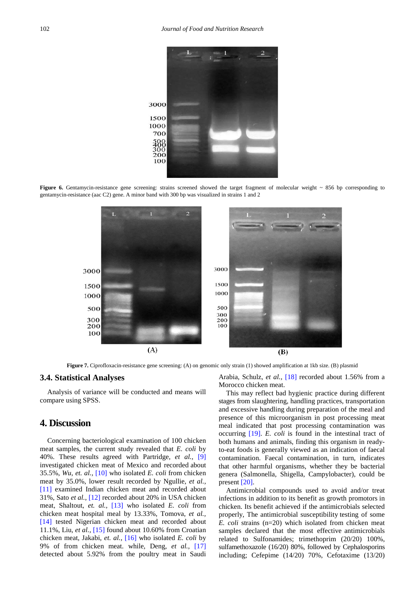<span id="page-4-0"></span>

<span id="page-4-1"></span>Figure 6. Gentamycin-resistance gene screening: strains screened showed the target fragment of molecular weight ~ 856 bp corresponding to gentamycin-resistance (aac C2) gene. A minor band with 300 bp was visualized in strains 1 and 2



**Figure 7.** Ciprofloxacin-resistance gene screening: (A) on genomic only strain (1) showed amplification at 1kb size. (B) plasmid

#### **3.4. Statistical Analyses**

Analysis of variance will be conducted and means will compare using SPSS.

## **4. Discussion**

Concerning bacteriological examination of 100 chicken meat samples, the current study revealed that *E. coli* by 40%. These results agreed with Partridge, *et al.,* [\[9\]](#page-6-1) investigated chicken meat of Mexico and recorded about 35.5%, *Wu*, *et. al.,* [\[10\]](#page-6-2) who isolated *E. coli* from chicken meat by 35.0%, lower result recorded by Ngullie, *et al.,*  [\[11\]](#page-6-3) examined Indian chicken meat and recorded about 31%, Sato *et al.,* [\[12\]](#page-6-4) recorded about 20% in USA chicken meat, Shaltout, *et. al.,* [\[13\]](#page-6-5) who isolated *E. coli* from chicken meat hospital meal by 13.33%, Tomova, *et al.,*  [\[14\]](#page-6-6) tested Nigerian chicken meat and recorded about 11.1%, Liu, *et al.,* [\[15\]](#page-6-7) found about 10.60% from Croatian chicken meat, Jakabi, *et. al.,* [\[16\]](#page-6-8) who isolated *E. coli* by 9% of from chicken meat. while, Deng, *et al.,* [\[17\]](#page-6-9) detected about 5.92% from the poultry meat in Saudi

Arabia, Schulz, *et al.,* [\[18\]](#page-6-10) recorded about 1.56% from a Morocco chicken meat.

This may reflect bad hygienic practice during different stages from slaughtering, handling practices, transportation and excessive handling during preparation of the meal and presence of this microorganism in post processing meat meal indicated that post processing contamination was occurring [\[19\].](#page-6-11) *E. coli* is found in the intestinal tract of both humans and animals, finding this organism in readyto-eat foods is generally viewed as an indication of faecal contamination. Faecal contamination, in turn, indicates that other harmful organisms, whether they be bacterial genera (Salmonella, Shigella, Campylobacter), could be present [\[20\].](#page-6-12)

Antimicrobial compounds used to avoid and/or treat infections in addition to its benefit as growth promotors in chicken. Its benefit achieved if the antimicrobials selected properly, The antimicrobial susceptibility testing of some *E. coli* strains (n=20) which isolated from chicken meat samples declared that the most effective antimicrobials related to Sulfonamides; trimethoprim (20/20) 100%, sulfamethoxazole (16/20) 80%, followed by Cephalosporins including; Cefepime (14/20) 70%, Cefotaxime (13/20)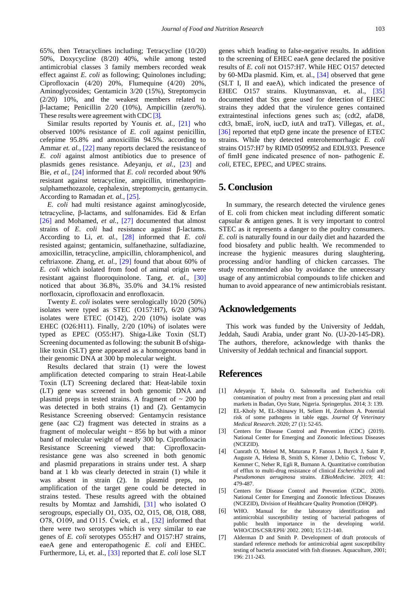65%, then Tetracyclines including; Tetracycline (10/20) 50%, Doxycycline (8/20) 40%, while among tested antimicrobial classes 3 family members recorded weak effect against *E. coli* as following; Quinolones including; Ciprofloxacin (4/20) 20%, Flumequine (4/20) 20%, Aminoglycosides; Gentamicin 3/20 (15%), Streptomycin (2/20) 10%, and the weakest members related to β-lactame; Penicillin 2/20 (10%), Ampicillin (zero%). These results were agreement with CDC [\[3\].](#page-5-2)

Similar results reported by Younis *et. al.,* [\[21\]](#page-6-13) who observed 100% resistance of *E. coli* against penicillin, cefepime 95.8% and amoxicillin 94.5%. according to Ammar *et. al.,* [\[22\]](#page-6-14) many reports declared the resistance of *E. coli* against almost antibiotics due to presence of plasmids genes resistance. Adeyanju, *et al.,* [\[23\]](#page-6-15) and Bie, *et al.,* [\[24\]](#page-6-16) informed that *E. coli* recorded about 90% resistant against tetracycline, ampicillin, trimethoprimsulphamethozazole, cephalexin, streptomycin, gentamycin. According to Ramadan *et. al.,* [\[25\].](#page-6-17)

*E. coli* had multi resistance against aminoglycoside, tetracycline, β-lactams, and sulfonamides. Eid & Erfan [\[26\]](#page-6-18) and Mohamed, *et al.,* [\[27\]](#page-6-19) documented that almost strains of *E. coli* had resistance against β-lactams. According to Li, *et. al.,* [\[28\]](#page-6-20) informed that *E. coli*  resisted against; gentamicin, sulfanethazine, sulfadiazine, amoxicillin, tetracycline, ampicillin, chloramphenicol, and ceftriaxone. Zhang, *et. al.,* [\[29\]](#page-6-21) found that about 60% of *E. coli* which isolated from food of animal origin were resistant against fluoroquinolone. Tang, *et. al.,* [\[30\]](#page-6-22) noticed that about 36.8%, 35.0% and 34.1% resisted norfloxacin, ciprofloxacin and enrofloxacin.

Twenty *E. coli* isolates were serologically 10/20 (50%) isolates were typed as STEC (O157:H7), 6/20 (30%) isolates were ETEC (O142), 2/20 (10%) isolate was EHEC (O26:H11). Finally, 2/20 (10%) of isolates were typed as EPEC (O55:H7). Shiga-Like Toxin (SLT) Screening documented as following: the subunit B ofshigalike toxin (SLT) gene appeared as a homogenous band in their genomic DNA at 300 bp molecular weight.

Results declared that strain (1) were the lowest amplification detected comparing to strain Heat-Labile Toxin (LT) Screening declared that: Heat-labile toxin (LT) gene was screened in both genomic DNA and plasmid preps in tested strains. A fragment of  $\sim$  200 bp was detected in both strains (1) and (2). Gentamycin Resistance Screening observed: Gentamycin resistance gene (aac C2) fragment was detected in strains as a fragment of molecular weight  $\sim 856$  bp but with a minor band of molecular weight of nearly 300 bp. Ciprofloxacin Resistance Screening viewed that: Ciprofloxacinresistance gene was also screened in both genomic and plasmid preparations in strains under test. A sharp band at 1 kb was clearly detected in strain (1) while it was absent in strain (2). In plasmid preps, no amplification of the target gene could be detected in strains tested. These results agreed with the obtained results by Momtaz and Jamshidi, [\[31\]](#page-6-23) who isolated O serogroups, especially O1, O35, O2, O15, O8, O18, O88, O78, O109, and O115. Ćwiek, et al., [\[32\]](#page-6-24) informed that there were two serotypes which is very similar to eae genes of *E. coli* serotypes O55:H7 and O157:H7 strains, eaeA gene and enteropathogenic *E. coli* and EHEC. Furthermore, Li, et. al., [\[33\]](#page-6-25) reported that *E. coli* lose SLT

genes which leading to false-negative results. In addition to the screening of EHEC eaeA gene declared the positive results of *E. coli* not O157:H7. While HEC O157 detected by 60-MDa plasmid. Kim, et. al., [\[34\]](#page-6-26) observed that gene (SLT I, II and eaeA), which indicated the presence of EHEC O157 strains. Kluytmansvan, et. al., [\[35\]](#page-6-27) documented that Stx gene used for detection of EHEC strains they added that the virulence genes contained extraintestinal infections genes such as; (cdt2, afaD8, cdt3, bmaE, iroN, iucD, iutA and traT). Villegas, *et. al.,*  [\[36\]](#page-6-28) reported that etpD gene incate the presence of ETEC strains. While they detected enterohemorrhagic *E. coli*  strains O157:H7 by RIMD 0509952 and EDL933. Presence of fimH gene indicated presence of non- pathogenic *E. coli*, ETEC, EPEC, and UPEC strains.

## **5. Conclusion**

In summary, the research detected the virulence genes of E. coli from chicken meat including different somatic capsular & antigen genes. It is very important to control STEC as it represents a danger to the poultry consumers. *E. coli* is naturally found in our daily diet and hazarded the food biosafety and public health. We recommended to increase the hygienic measures during slaughtering, processing and/or handling of chicken carcasses. The study recommended also by avoidance the unnecessary usage of any antimicrobial compounds to life chicken and human to avoid appearance of new antimicrobials resistant.

#### **Acknowledgements**

This work was funded by the University of Jeddah, Jeddah, Saudi Arabia, under grant No. (UJ-20-145-DR). The authors, therefore, acknowledge with thanks the University of Jeddah technical and financial support.

# **References**

- <span id="page-5-0"></span>[1] Adeyanju T, Ishola O. Salmonella and Escherichia coli contamination of poultry meat from a processing plant and retail markets in Ibadan, Oyo State, Nigeria. Springerplus. 2014; 3: 139.
- <span id="page-5-1"></span>[2] EL-Kholy M, EL-Shinawy H, Seliem H, Zeinhom A. Potential risk of some pathogens in table eggs. *Journal Of Veterinary Medical Research*. 2020; 27 (1): 52-65.
- <span id="page-5-2"></span>[3] Centers for Disease Control and Prevention (CDC) (2019). National Center for Emerging and Zoonotic Infectious Diseases (NCEZID).
- <span id="page-5-3"></span>[4] Cunrath O, Meinel M, Maturana P, Fanous J, Buyck J, Saint P, Auguste A, Helena B, Smith S, Körner J, Dehio C, Trebosc V, Kemmer C, Neher R, Egli R, Bumann A. Quantitative contribution of efflux to multi-drug resistance of clinical *Escherichia coli* and *Pseudomonas aeruginosa* strains. *EBioMedicine*. 2019; 41: 479-487.
- <span id="page-5-4"></span>[5] Centers for Disease Control and Prevention (CDC, 2020). National Center for Emerging and Zoonotic Infectious Diseases (NCEZID), Division of Healthcare Quality Promotion (DHQP).
- <span id="page-5-5"></span>[6] WHO. Manual for the laboratory identification and antimicrobial susceptibility testing of bacterial pathogens of public health importance in the developing world. WHO/CDS/CSR/EPH/ 2002. 2003; 15:121-140.
- <span id="page-5-6"></span>[7] Alderman D and Smith P. Development of draft protocols of standard reference methods for antimicrobial agent susceptibility testing of bacteria associated with fish diseases. Aquaculture, 2001; 196: 211-243.